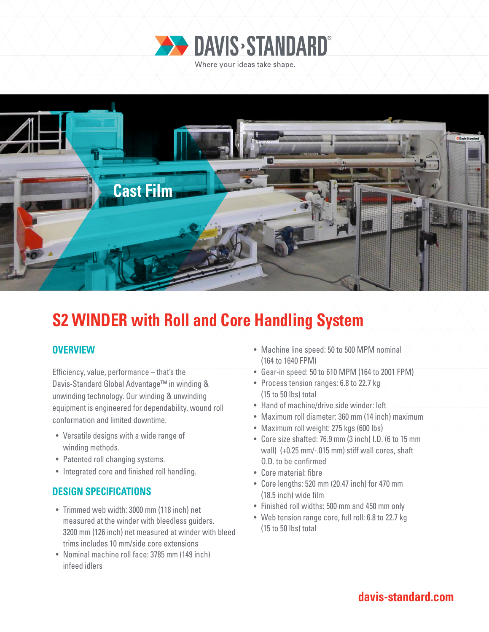



# **S2 WINDER with Roll and Core Handling System**

# **OVERVIEW**

Efficiency, value, performance – that's the Davis-Standard Global Advantage™ in winding & unwinding technology. Our winding & unwinding equipment is engineered for dependability, wound roll conformation and limited downtime.

- Versatile designs with a wide range of winding methods.
- Patented roll changing systems.
- Integrated core and finished roll handling.

# **DESIGN SPECIFICATIONS**

- Trimmed web width: 3000 mm (118 inch) net measured at the winder with bleedless guiders. 3200 mm (126 inch) net measured at winder with bleed trims includes 10 mm/side core extensions
- Nominal machine roll face: 3785 mm (149 inch) infeed idlers
- Machine line speed: 50 to 500 MPM nominal (164 to 1640 FPM)
- Gear-in speed: 50 to 610 MPM (164 to 2001 FPM)
- Process tension ranges: 6.8 to 22.7 kg (15 to 50 lbs) total
- Hand of machine/drive side winder: left
- Maximum roll diameter: 360 mm (14 inch) maximum
- Maximum roll weight: 275 kgs (600 lbs)
- Core size shafted: 76.9 mm (3 inch) I.D. (6 to 15 mm wall) (+0.25 mm/-.015 mm) stiff wall cores, shaft O.D. to be confirmed
- Core material: fibre
- Core lengths: 520 mm (20.47 inch) for 470 mm (18.5 inch) wide film
- Finished roll widths: 500 mm and 450 mm only
- Web tension range core, full roll: 6.8 to 22.7 kg (15 to 50 lbs) total

# **davis-standard.com**